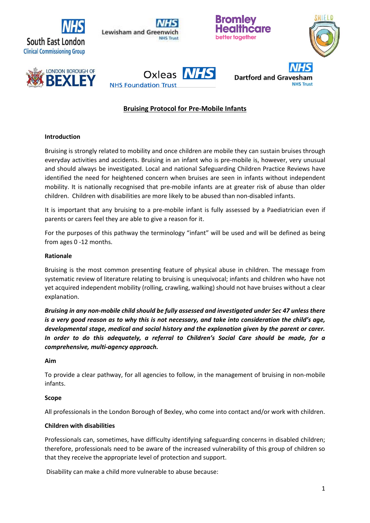





**Dartford and Graves** 









# **Bruising Protocol for Pre-Mobile Infants**

### **Introduction**

Bruising is strongly related to mobility and once children are mobile they can sustain bruises through everyday activities and accidents. Bruising in an infant who is pre-mobile is, however, very unusual and should always be investigated. Local and national Safeguarding Children Practice Reviews have identified the need for heightened concern when bruises are seen in infants without independent mobility. It is nationally recognised that pre-mobile infants are at greater risk of abuse than older children. Children with disabilities are more likely to be abused than non-disabled infants.

It is important that any bruising to a pre-mobile infant is fully assessed by a Paediatrician even if parents or carers feel they are able to give a reason for it.

For the purposes of this pathway the terminology "infant" will be used and will be defined as being from ages 0 -12 months.

### **Rationale**

Bruising is the most common presenting feature of physical abuse in children. The message from systematic review of literature relating to bruising is unequivocal; infants and children who have not yet acquired independent mobility (rolling, crawling, walking) should not have bruises without a clear explanation.

*Bruising in any non-mobile child should be fully assessed and investigated under Sec 47 unless there is a very good reason as to why this is not necessary, and take into consideration the child's age, developmental stage, medical and social history and the explanation given by the parent or carer. In order to do this adequately, a referral to Children's Social Care should be made, for a comprehensive, multi-agency approach.*

### **Aim**

To provide a clear pathway, for all agencies to follow, in the management of bruising in non-mobile infants.

### **Scope**

All professionals in the London Borough of Bexley, who come into contact and/or work with children.

### **Children with disabilities**

Professionals can, sometimes, have difficulty identifying safeguarding concerns in disabled children; therefore, professionals need to be aware of the increased vulnerability of this group of children so that they receive the appropriate level of protection and support.

Disability can make a child more vulnerable to abuse because: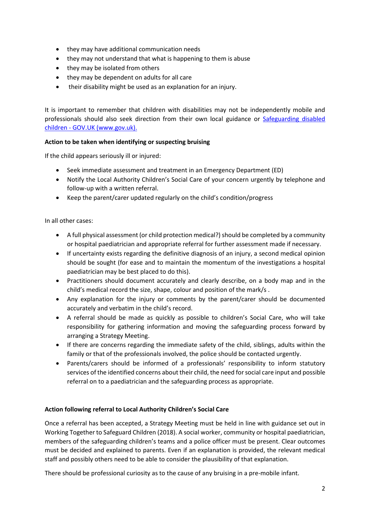- they may have additional communication needs
- they may not understand that what is happening to them is abuse
- they may be isolated from others
- they may be dependent on adults for all care
- their disability might be used as an explanation for an injury.

It is important to remember that children with disabilities may not be independently mobile and professionals should also seek direction from their own local guidance or Safeguarding disabled children - GOV.UK (www.gov.uk).

## **Action to be taken when identifying or suspecting bruising**

If the child appears seriously ill or injured:

- Seek immediate assessment and treatment in an Emergency Department (ED)
- Notify the Local Authority Children's Social Care of your concern urgently by telephone and follow-up with a written referral.
- Keep the parent/carer updated regularly on the child's condition/progress

In all other cases:

- A full physical assessment (or child protection medical?) should be completed by a community or hospital paediatrician and appropriate referral for further assessment made if necessary.
- If uncertainty exists regarding the definitive diagnosis of an injury, a second medical opinion should be sought (for ease and to maintain the momentum of the investigations a hospital paediatrician may be best placed to do this).
- Practitioners should document accurately and clearly describe, on a body map and in the child's medical record the size, shape, colour and position of the mark/s .
- Any explanation for the injury or comments by the parent/carer should be documented accurately and verbatim in the child's record.
- A referral should be made as quickly as possible to children's Social Care, who will take responsibility for gathering information and moving the safeguarding process forward by arranging a Strategy Meeting.
- If there are concerns regarding the immediate safety of the child, siblings, adults within the family or that of the professionals involved, the police should be contacted urgently.
- Parents/carers should be informed of a professionals' responsibility to inform statutory services of the identified concerns about their child, the need for social care input and possible referral on to a paediatrician and the safeguarding process as appropriate.

## **Action following referral to Local Authority Children's Social Care**

Once a referral has been accepted, a Strategy Meeting must be held in line with guidance set out in Working Together to Safeguard Children (2018). A social worker, community or hospital paediatrician, members of the safeguarding children's teams and a police officer must be present. Clear outcomes must be decided and explained to parents. Even if an explanation is provided, the relevant medical staff and possibly others need to be able to consider the plausibility of that explanation.

There should be professional curiosity as to the cause of any bruising in a pre-mobile infant.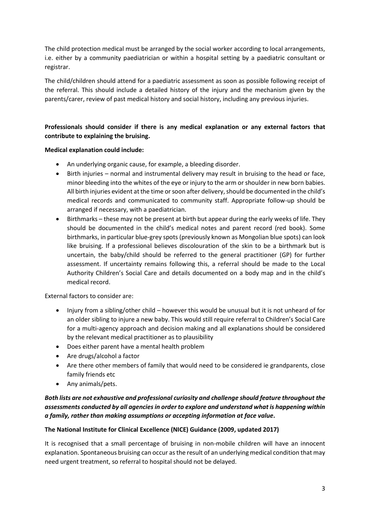The child protection medical must be arranged by the social worker according to local arrangements, i.e. either by a community paediatrician or within a hospital setting by a paediatric consultant or registrar.

The child/children should attend for a paediatric assessment as soon as possible following receipt of the referral. This should include a detailed history of the injury and the mechanism given by the parents/carer, review of past medical history and social history, including any previous injuries.

# **Professionals should consider if there is any medical explanation or any external factors that contribute to explaining the bruising.**

## **Medical explanation could include:**

- An underlying organic cause, for example, a bleeding disorder.
- Birth injuries normal and instrumental delivery may result in bruising to the head or face, minor bleeding into the whites of the eye or injury to the arm or shoulder in new born babies. All birth injuries evident at the time or soon after delivery, should be documented in the child's medical records and communicated to community staff. Appropriate follow-up should be arranged if necessary, with a paediatrician.
- Birthmarks these may not be present at birth but appear during the early weeks of life. They should be documented in the child's medical notes and parent record (red book). Some birthmarks, in particular blue-grey spots (previously known as Mongolian blue spots) can look like bruising. If a professional believes discolouration of the skin to be a birthmark but is uncertain, the baby/child should be referred to the general practitioner (GP) for further assessment. If uncertainty remains following this, a referral should be made to the Local Authority Children's Social Care and details documented on a body map and in the child's medical record.

External factors to consider are:

- Injury from a sibling/other child however this would be unusual but it is not unheard of for an older sibling to injure a new baby. This would still require referral to Children's Social Care for a multi-agency approach and decision making and all explanations should be considered by the relevant medical practitioner as to plausibility
- Does either parent have a mental health problem
- Are drugs/alcohol a factor
- Are there other members of family that would need to be considered ie grandparents, close family friends etc
- Any animals/pets.

## *Both lists are not exhaustive and professional curiosity and challenge should feature throughout the assessments conducted by all agencies in order to explore and understand what is happening within a family, rather than making assumptions or accepting information at face value.*

## **The National Institute for Clinical Excellence (NICE) Guidance (2009, updated 2017)**

It is recognised that a small percentage of bruising in non-mobile children will have an innocent explanation. Spontaneous bruising can occur as the result of an underlying medical condition that may need urgent treatment, so referral to hospital should not be delayed.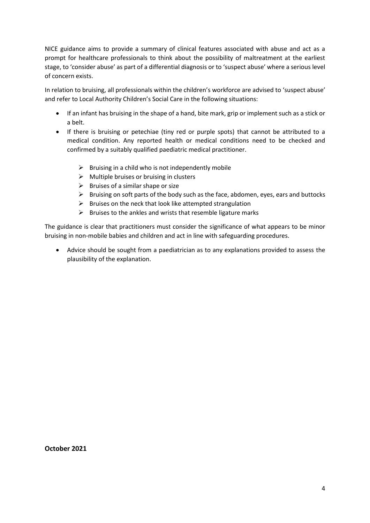NICE guidance aims to provide a summary of clinical features associated with abuse and act as a prompt for healthcare professionals to think about the possibility of maltreatment at the earliest stage, to 'consider abuse' as part of a differential diagnosis or to 'suspect abuse' where a serious level of concern exists.

In relation to bruising, all professionals within the children's workforce are advised to 'suspect abuse' and refer to Local Authority Children's Social Care in the following situations:

- If an infant has bruising in the shape of a hand, bite mark, grip or implement such as a stick or a belt.
- If there is bruising or petechiae (tiny red or purple spots) that cannot be attributed to a medical condition. Any reported health or medical conditions need to be checked and confirmed by a suitably qualified paediatric medical practitioner.
	- $\triangleright$  Bruising in a child who is not independently mobile
	- $\triangleright$  Multiple bruises or bruising in clusters
	- $\triangleright$  Bruises of a similar shape or size
	- $\triangleright$  Bruising on soft parts of the body such as the face, abdomen, eyes, ears and buttocks
	- $\triangleright$  Bruises on the neck that look like attempted strangulation
	- $\triangleright$  Bruises to the ankles and wrists that resemble ligature marks

The guidance is clear that practitioners must consider the significance of what appears to be minor bruising in non-mobile babies and children and act in line with safeguarding procedures.

• Advice should be sought from a paediatrician as to any explanations provided to assess the plausibility of the explanation.

**October 2021**